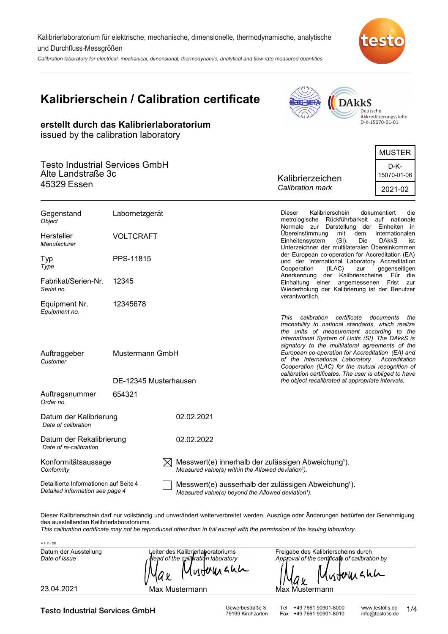Kalibrierlaboratorium für elektrische, mechanische, dimensionelle, thermodynamische, analytische und Durchfluss-Messgrößen

Calibration laboratory for electrical, mechanical, dimensional, thermodynamic, analytical and flow rate measured quantities



# **Kalibrierschein / Calibration certificate**

**erstellt durch das Kalibrierlaboratorium**

**AC-MRA DAkkS** Deutsche Akkreditierungsstelle D-K-15070-01-01

|                                                                            | issued by the calibration laboratory |                                                               |                                         |  |
|----------------------------------------------------------------------------|--------------------------------------|---------------------------------------------------------------|-----------------------------------------|--|
| <b>Testo Industrial Services GmbH</b><br>Alte Landstraße 3c<br>45329 Essen |                                      |                                                               | <b>MUSTER</b>                           |  |
|                                                                            |                                      | Kalibrierzeichen<br>Calibration mark                          | D-K-<br>15070-01-06<br>2021-02          |  |
| Gegenstand<br>Object                                                       | Labornetzgerät                       | Kalibrierschein<br>Dieser<br>Rückführbarkeit<br>metrologische | dokumentiert<br>die<br>nationale<br>auf |  |
|                                                                            |                                      | Normale<br>Darstellung<br>zur                                 | der Einheiten in                        |  |

Messwert(e) ausserhalb der zulässigen Abweichung<sup>1</sup>). Detaillierte Informationen auf Seite 4 *Detailed information see page 4* Auftragsnummer *Order no.* Datum der Kalibrierung **1988** 02.02.2021 *Date of calibration* Auftraggeber *Customer* Typ **PPS-11815** *Type* Hersteller VOLTCRAFT *Manufacturer* Fabrikat/Serien-Nr. *Serial no.* Übereinstimmung mit dem Internationalen Einheitensystem (SI). Die DAkkS ist Unterzeichner der multilateralen Übereinkommen der European co-operation for Accreditation (EA) und der International Laboratory Accreditation<br>Cooperation (ILAC) zur gegenseitigen Cooperation (ILAC) Anerkennung der Kalibrierscheine. Für die Einhaltung einer angemessenen Frist zur Wiederholung der Kalibrierung ist der Benutzer verantwortlich. *This calibration certificate documents the traceability to national standards, which realize the units of measurement according to the International System of Units (SI). The DAkkS is signatory to the multilateral agreements of the European co-operation for Accreditation (EA) and of the International Laboratory Accreditation Cooperation (ILAC) for the mutual recognition of calibration certificates. The user is obliged to have the object recalibrated at appropriate intervals.* DE-12345 Musterhausen 12345 Mustermann GmbH 654321 Equipment Nr. 12345678 *Equipment no.* Datum der Rekalibrierung 02.02.2022 *Date of re-calibration*  $\boxtimes$  Messwert(e) innerhalb der zulässigen Abweichung<sup>1</sup>). *Measured value(s) within the Allowed deviation<sup>1</sup>).* Konformitätsaussage *Conformity*

Dieser Kalibrierschein darf nur vollständig und unverändert weiterverbreitet werden. Auszüge oder Änderungen bedürfen der Genehmigung des ausstellenden Kalibrierlaboratoriums.

*Measured value(s) beyond the Allowed deviation<sup>1</sup>).* 

*This calibration certificate may not be reproduced other than in full except with the permission of the issuing laboratory.*

| V 6.11 / DE                            |                                                                                                |                                                                                                  |
|----------------------------------------|------------------------------------------------------------------------------------------------|--------------------------------------------------------------------------------------------------|
| Datum der Ausstellung<br>Date of issue | Leiter des Kalibrierlaboratoriums<br>· Head of the calibration laboratory<br>Mustomann<br>'Max | Freigabe des Kalibrierscheins durch<br>Approval of the certificate of calibration by<br>Mytomann |
| 23.04.2021                             | Max Mustermann                                                                                 | Max Mustermann                                                                                   |

Testo Industrial Services GmbH<br>
79199 Kirchzarten Fax +49 7661 90901-8010 info@testotis.de<br>
79199 Kirchzarten Fax +49 7661 90901-8010 info@testotis.de

Fax +49 7661 90901-8010

1/4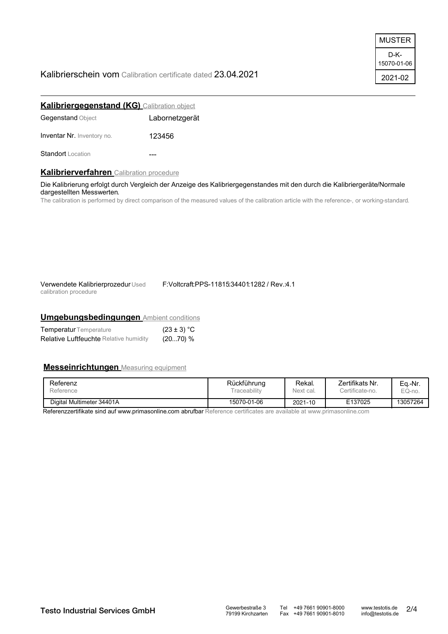## Kalibrierschein vom Calibration certificate dated 23.04.2021

| MUSTER              |
|---------------------|
| D-K-<br>15070-01-06 |
| 2021-02             |

| <b>Kalibriergegenstand (KG)</b> Calibration object |                |
|----------------------------------------------------|----------------|
| <b>Gegenstand Object</b>                           | Labornetzgerät |
| <b>Inventar Nr.</b> Inventory no.                  | 123456         |
| <b>Standort</b> Location                           |                |

## **Kalibrierverfahren** Calibration procedure

Die Kalibrierung erfolgt durch Vergleich der Anzeige des Kalibriergegenstandes mit den durch die Kalibriergeräte/Normale dargestellten Messwerten.

The calibration is performed by direct comparison of the measured values of the calibration article with the reference-, or working-standard.

| Verwendete Kalibrierprozedur Used |  |
|-----------------------------------|--|
| calibration procedure             |  |

F:Voltcraft:PPS-11815:34401:1282 / Rev.:4.1

## **Umgebungsbedingungen** Ambient conditions

| <b>Temperatur</b> Temperature                 | $(23 \pm 3) °C$ |
|-----------------------------------------------|-----------------|
| <b>Relative Luftfeuchte Relative humidity</b> | (2070) %        |

## **Messeinrichtungen** Measuring equipment

| Referenz                  | Rückführung              | Rekal.    | Zertifikats Nr. | Ea.-Nr.  |
|---------------------------|--------------------------|-----------|-----------------|----------|
| Reference                 | <sup>-</sup> raceabilitv | Next cal. | ertificate-no.  | EQ-no.   |
| Digital Multimeter 34401A | 15070-01-06              | 2021-10   | E137025         | 13057264 |

Referenzzertifikate sind auf www.primasonline.com abrufbar Reference certificates are available at www.primasonline.com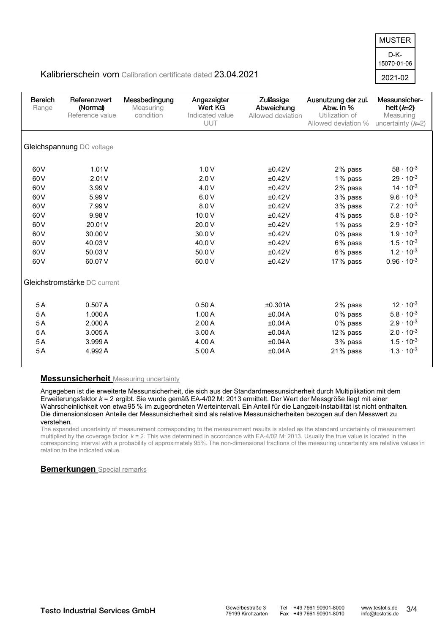D-K-2021-02 15070-01-06 MUSTER

## Kalibrierschein vom Calibration certificate dated 23.04.2021

| <b>Bereich</b><br>Range                                                                                            | Referenzwert<br>(Normal)<br>Reference value                                                      | Messbedingung<br>Measuring<br>condition | Angezeigter<br>Wert KG<br>Indicated value<br><b>UUT</b>                                  | Zulässige<br>Abweichung<br>Allowed deviation                                                     | Ausnutzung der zul.<br>Abw. in %<br>Utilization of<br>Allowed deviation %                                  | Messunsicher-<br>heit $(k=2)$<br>Measuring<br>uncertainty $(k=2)$                                                                                                                                                               |
|--------------------------------------------------------------------------------------------------------------------|--------------------------------------------------------------------------------------------------|-----------------------------------------|------------------------------------------------------------------------------------------|--------------------------------------------------------------------------------------------------|------------------------------------------------------------------------------------------------------------|---------------------------------------------------------------------------------------------------------------------------------------------------------------------------------------------------------------------------------|
|                                                                                                                    | Gleichspannung DC voltage                                                                        |                                         |                                                                                          |                                                                                                  |                                                                                                            |                                                                                                                                                                                                                                 |
| 60 <sub>V</sub><br>60 <sub>V</sub><br>60V<br>60V<br>60V<br>60V<br>60V<br>60 <sub>V</sub><br>60V<br>60 <sub>V</sub> | 1.01V<br>2.01V<br>3.99V<br>5.99 V<br>7.99 V<br>9.98 V<br>20.01V<br>30.00 V<br>40.03 V<br>50.03 V |                                         | 1.0V<br>2.0V<br>4.0 V<br>6.0V<br>8.0 V<br>10.0 V<br>20.0 V<br>30.0 V<br>40.0 V<br>50.0 V | ±0.42V<br>±0.42V<br>±0.42V<br>±0.42V<br>±0.42V<br>±0.42V<br>±0.42V<br>±0.42V<br>±0.42V<br>±0.42V | 2% pass<br>1% pass<br>2% pass<br>3% pass<br>3% pass<br>4% pass<br>1% pass<br>0% pass<br>6% pass<br>6% pass | $58 \cdot 10^{-3}$<br>$29 \cdot 10^{-3}$<br>$14 \cdot 10^{-3}$<br>$9.6 \cdot 10^{-3}$<br>$7.2 \cdot 10^{-3}$<br>$5.8 \cdot 10^{-3}$<br>$2.9 \cdot 10^{-3}$<br>$1.9 \cdot 10^{-3}$<br>$1.5 \cdot 10^{-3}$<br>$1.2 \cdot 10^{-3}$ |
| 60V<br>5A<br>5A<br>5A                                                                                              | 60.07V<br>Gleichstromstärke DC current<br>0.507A<br>1.000A<br>2.000A                             |                                         | 60.0 V<br>0.50A<br>1.00A<br>2.00A                                                        | ±0.42V<br>±0.301A<br>±0.04A<br>±0.04A                                                            | 17% pass<br>2% pass<br>0% pass<br>0% pass                                                                  | $0.96 \cdot 10^{-3}$<br>$12 \cdot 10^{-3}$<br>$5.8 \cdot 10^{-3}$<br>$2.9 \cdot 10^{-3}$                                                                                                                                        |
| 5A<br>5A<br>5A                                                                                                     | 3.005A<br>3.999 A<br>4.992A                                                                      |                                         | 3.00A<br>4.00 A<br>5.00 A                                                                | ±0.04A<br>±0.04A<br>±0.04A                                                                       | 12% pass<br>3% pass<br>21% pass                                                                            | $2.0 \cdot 10^{-3}$<br>$1.5 \cdot 10^{-3}$<br>$1.3 \cdot 10^{-3}$                                                                                                                                                               |

## **Messunsicherheit** Measuring uncertainty

Angegeben ist die erweiterte Messunsicherheit, die sich aus der Standardmessunsicherheit durch Multiplikation mit dem Erweiterungsfaktor *k* = 2 ergibt. Sie wurde gemäß EA-4/02 M: 2013 ermittelt. Der Wert der Messgröße liegt mit einer Wahrscheinlichkeit von etwa95 % im zugeordneten Werteintervall. Ein Anteil für die Langzeit-Instabilität ist nicht enthalten. Die dimensionslosen Anteile der Messunsicherheit sind als relative Messunsicherheiten bezogen auf den Messwert zu verstehen.

The expanded uncertainty of measurement corresponding to the measurement results is stated as the standard uncertainty of measurement multiplied by the coverage factor *k* = 2. This was determined in accordance with EA-4/02 M: 2013. Usually the true value is located in the corresponding interval with a probability of approximately 95%. The non-dimensional fractions of the measuring uncertainty are relative values in relation to the indicated value.

## **Bemerkungen** Special remarks